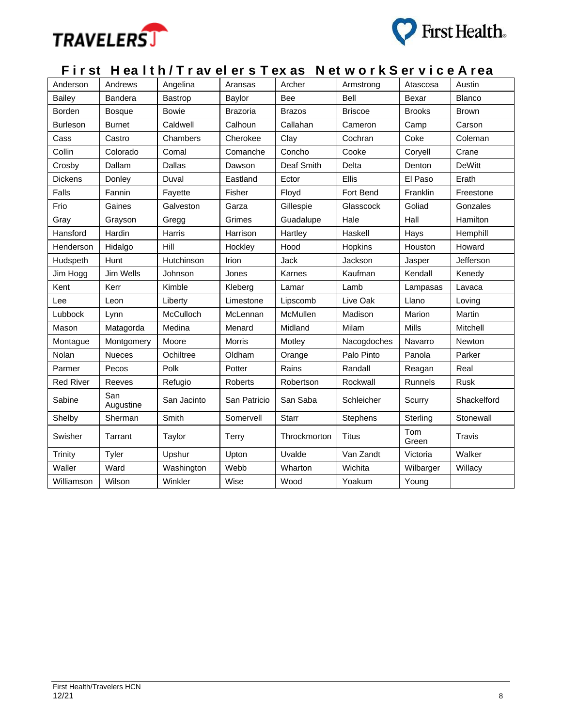



## **F i r st H ea l t h / T r av el er s T ex as N et w o r k S er v i c e A r ea**

| Anderson         | Andrews          | Angelina     | Aransas         | Archer        | Armstrong       | Atascosa      | Austin        |
|------------------|------------------|--------------|-----------------|---------------|-----------------|---------------|---------------|
| Bailey           | Bandera          | Bastrop      | Baylor          | Bee           | Bell            | Bexar         | <b>Blanco</b> |
| Borden           | <b>Bosque</b>    | <b>Bowie</b> | <b>Brazoria</b> | <b>Brazos</b> | <b>Briscoe</b>  | <b>Brooks</b> | <b>Brown</b>  |
| <b>Burleson</b>  | <b>Burnet</b>    | Caldwell     | Calhoun         | Callahan      | Cameron         | Camp          | Carson        |
| Cass             | Castro           | Chambers     | Cherokee        | Clay          | Cochran         | Coke          | Coleman       |
| Collin           | Colorado         | Comal        | Comanche        | Concho        | Cooke           | Coryell       | Crane         |
| Crosby           | Dallam           | Dallas       | Dawson          | Deaf Smith    | Delta           | Denton        | <b>DeWitt</b> |
| <b>Dickens</b>   | Donley           | Duval        | Eastland        | Ector         | Ellis           | El Paso       | Erath         |
| Falls            | Fannin           | Fayette      | Fisher          | Floyd         | Fort Bend       | Franklin      | Freestone     |
| Frio             | Gaines           | Galveston    | Garza           | Gillespie     | Glasscock       | Goliad        | Gonzales      |
| Gray             | Grayson          | Gregg        | Grimes          | Guadalupe     | Hale            | Hall          | Hamilton      |
| Hansford         | Hardin           | Harris       | Harrison        | Hartley       | Haskell         | Hays          | Hemphill      |
| Henderson        | Hidalgo          | Hill         | Hockley         | Hood          | Hopkins         | Houston       | Howard        |
| Hudspeth         | Hunt             | Hutchinson   | Irion           | Jack          | Jackson         | Jasper        | Jefferson     |
| Jim Hogg         | Jim Wells        | Johnson      | Jones           | Karnes        | Kaufman         | Kendall       | Kenedy        |
| Kent             | Kerr             | Kimble       | Kleberg         | Lamar         | Lamb            | Lampasas      | Lavaca        |
| Lee              | Leon             | Liberty      | Limestone       | Lipscomb      | Live Oak        | Llano         | Loving        |
| Lubbock          | Lynn             | McCulloch    | McLennan        | McMullen      | Madison         | Marion        | Martin        |
| Mason            | Matagorda        | Medina       | Menard          | Midland       | Milam           | <b>Mills</b>  | Mitchell      |
| Montague         | Montgomery       | Moore        | <b>Morris</b>   | Motley        | Nacogdoches     | Navarro       | Newton        |
| Nolan            | <b>Nueces</b>    | Ochiltree    | Oldham          | Orange        | Palo Pinto      | Panola        | Parker        |
| Parmer           | Pecos            | Polk         | Potter          | Rains         | Randall         | Reagan        | Real          |
| <b>Red River</b> | Reeves           | Refugio      | Roberts         | Robertson     | Rockwall        | Runnels       | Rusk          |
| Sabine           | San<br>Augustine | San Jacinto  | San Patricio    | San Saba      | Schleicher      | Scurry        | Shackelford   |
| Shelby           | Sherman          | Smith        | Somervell       | <b>Starr</b>  | <b>Stephens</b> | Sterling      | Stonewall     |
| Swisher          | Tarrant          | Taylor       | Terry           | Throckmorton  | <b>Titus</b>    | Tom<br>Green  | Travis        |
| Trinity          | Tyler            | Upshur       | Upton           | Uvalde        | Van Zandt       | Victoria      | Walker        |
| Waller           | Ward             | Washington   | Webb            | Wharton       | Wichita         | Wilbarger     | Willacy       |
| Williamson       | Wilson           | Winkler      | Wise            | Wood          | Yoakum          | Young         |               |